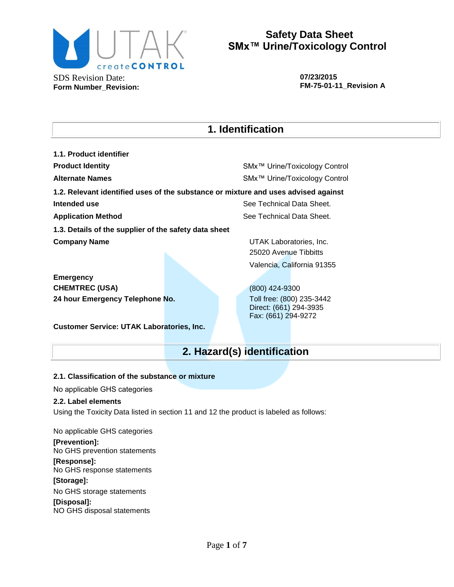

**07/23/2015 FM-75-01-11\_Revision A**

# **1. Identification**

**1.1. Product identifier Product Identity** SMx™ Urine/Toxicology Control **Alternate Names** SMx™ Urine/Toxicology Control **1.2. Relevant identified uses of the substance or mixture and uses advised against Intended use** See Technical Data Sheet. **Application Method** See Technical Data Sheet. **1.3. Details of the supplier of the safety data sheet Company Name Company Name UTAK Laboratories, Inc.** 25020 Avenue Tibbitts Valencia, California 91355 **Emergency**

**CHEMTREC (USA)** (800) 424-9300 **24 hour Emergency Telephone No.** Toll free: (800) 235-3442

**Customer Service: UTAK Laboratories, Inc.**

Direct: (661) 294-3935 Fax: (661) 294-9272

# **2. Hazard(s) identification**

### **2.1. Classification of the substance or mixture**

No applicable GHS categories

### **2.2. Label elements**

Using the Toxicity Data listed in section 11 and 12 the product is labeled as follows:

No applicable GHS categories **[Prevention]:** No GHS prevention statements

**[Response]:** No GHS response statements

### **[Storage]:**

No GHS storage statements

**[Disposal]:**  NO GHS disposal statements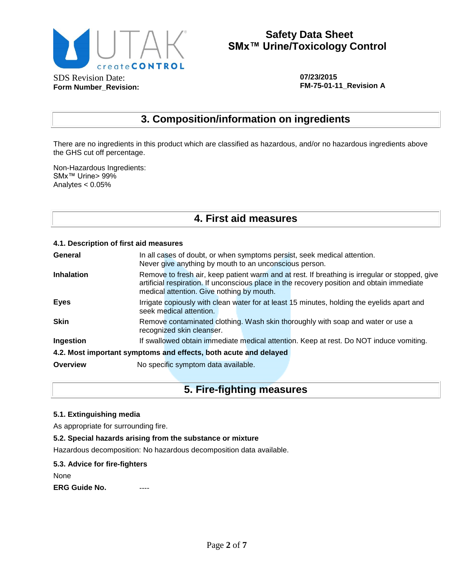

**07/23/2015 FM-75-01-11\_Revision A**

## **3. Composition/information on ingredients**

There are no ingredients in this product which are classified as hazardous, and/or no hazardous ingredients above the GHS cut off percentage.

Non-Hazardous Ingredients: SMx™ Urine> 99% Analytes < 0.05%

## **4. First aid measures**

#### **4.1. Description of first aid measures**

| General                                                          | In all cases of doubt, or when symptoms persist, seek medical attention.<br>Never give anything by mouth to an unconscious person. |                                           |  |  |                                                                                                                                                                                              |  |  |
|------------------------------------------------------------------|------------------------------------------------------------------------------------------------------------------------------------|-------------------------------------------|--|--|----------------------------------------------------------------------------------------------------------------------------------------------------------------------------------------------|--|--|
| <b>Inhalation</b>                                                |                                                                                                                                    | medical attention. Give nothing by mouth. |  |  | Remove to fresh air, keep patient warm and at rest. If breathing is irregular or stopped, give<br>artificial respiration. If unconscious place in the recovery position and obtain immediate |  |  |
| <b>Eyes</b>                                                      |                                                                                                                                    | seek medical attention.                   |  |  | Irrigate copiously with clean water for at least 15 minutes, holding the eyelids apart and                                                                                                   |  |  |
| <b>Skin</b>                                                      |                                                                                                                                    | recognized skin cleanser.                 |  |  | Remove contaminated clothing. Wash skin thoroughly with soap and water or use a                                                                                                              |  |  |
| Ingestion                                                        |                                                                                                                                    |                                           |  |  | If swallowed obtain immediate medical attention. Keep at rest. Do NOT induce vomiting.                                                                                                       |  |  |
| 4.2. Most important symptoms and effects, both acute and delayed |                                                                                                                                    |                                           |  |  |                                                                                                                                                                                              |  |  |
| Overview                                                         |                                                                                                                                    | No specific symptom data available.       |  |  |                                                                                                                                                                                              |  |  |

## **5. Fire-fighting measures**

#### **5.1. Extinguishing media**

As appropriate for surrounding fire.

#### **5.2. Special hazards arising from the substance or mixture**

Hazardous decomposition: No hazardous decomposition data available.

#### **5.3. Advice for fire-fighters**

None

**ERG Guide No.**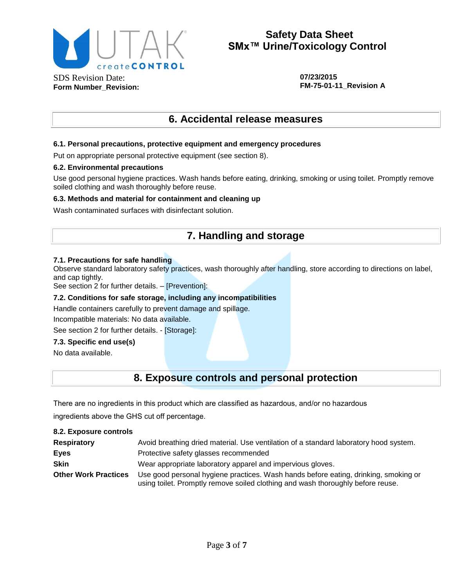

**07/23/2015 FM-75-01-11\_Revision A**

## **6. Accidental release measures**

#### **6.1. Personal precautions, protective equipment and emergency procedures**

Put on appropriate personal protective equipment (see section 8).

#### **6.2. Environmental precautions**

Use good personal hygiene practices. Wash hands before eating, drinking, smoking or using toilet. Promptly remove soiled clothing and wash thoroughly before reuse.

#### **6.3. Methods and material for containment and cleaning up**

Wash contaminated surfaces with disinfectant solution.

## **7. Handling and storage**

#### **7.1. Precautions for safe handling**

Observe standard laboratory safety practices, wash thoroughly after handling, store according to directions on label, and cap tightly.

See section 2 for further details. – [Prevention]:

#### **7.2. Conditions for safe storage, including any incompatibilities**

Handle containers carefully to prevent damage and spillage.

Incompatible materials: No data available.

See section 2 for further details. - [Storage]:

#### **7.3. Specific end use(s)**

No data available.

## **8. Exposure controls and personal protection**

There are no ingredients in this product which are classified as hazardous, and/or no hazardous

ingredients above the GHS cut off percentage.

#### **8.2. Exposure controls**

| <b>Respiratory</b>          | Avoid breathing dried material. Use ventilation of a standard laboratory hood system.                                                                                  |
|-----------------------------|------------------------------------------------------------------------------------------------------------------------------------------------------------------------|
| Eyes                        | Protective safety glasses recommended                                                                                                                                  |
| <b>Skin</b>                 | Wear appropriate laboratory apparel and impervious gloves.                                                                                                             |
| <b>Other Work Practices</b> | Use good personal hygiene practices. Wash hands before eating, drinking, smoking or<br>using toilet. Promptly remove soiled clothing and wash thoroughly before reuse. |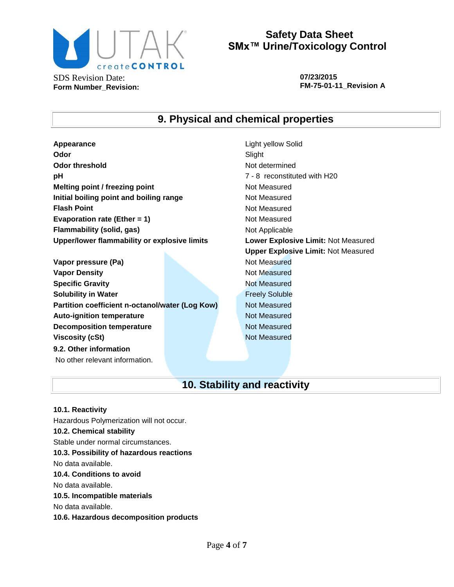

**Form Number\_Revision:**

## **Safety Data Sheet SMx™ Urine/Toxicology Control**

**07/23/2015 FM-75-01-11\_Revision A**

## **9. Physical and chemical properties**

**Appearance** Light yellow Solid **Odor** Slight **Odor threshold** Not determined **pH** *PH PH PH PH PH PH PH PH PH PH PH PH PH PH PH PH PH PH PH PH PH PH PH PH PH PH PH PH PH PH PH* **Melting point / freezing point** Not Measured **Initial boiling point and boiling range Mot Measured Results Flash Point** Not Measured **Evaporation rate (Ether = 1)** Not Measured **Flammability (solid, gas)** Not Applicable **Upper/lower flammability or explosive limits Lower Explosive Limit:** Not Measured

**Vapor pressure (Pa)** Not Measured **Vapor Density Not Measured** Not Measured **Specific Gravity** Not Measured **Solubility in Water Figure 1.1 Contract Contract Contract Contract Contract Contract Contract Contract Contract Contract Contract Contract Contract Contract Contract Contract Contract Contract Contract Contract Contract Partition coefficient n-octanol/water (Log Kow)** Not Measured **Auto-ignition temperature Not Measured Decomposition temperature** Not Measured **Viscosity (cSt)** Not Measured **9.2. Other information** No other relevant information.

**Upper Explosive Limit:** Not Measured

# **10. Stability and reactivity**

**10.1. Reactivity** Hazardous Polymerization will not occur. **10.2. Chemical stability** Stable under normal circumstances. **10.3. Possibility of hazardous reactions** No data available. **10.4. Conditions to avoid** No data available. **10.5. Incompatible materials** No data available. **10.6. Hazardous decomposition products**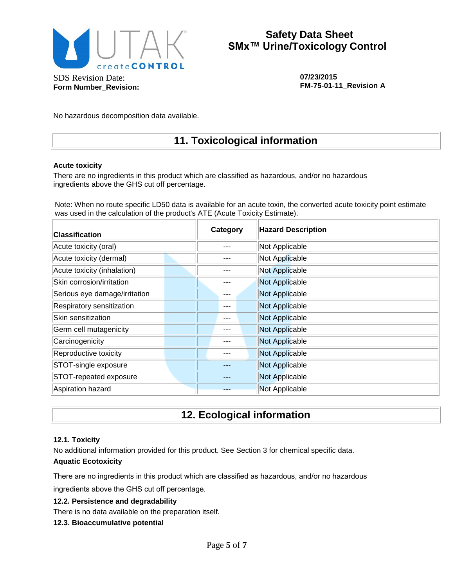

**Form Number\_Revision:**

# **Safety Data Sheet SMx™ Urine/Toxicology Control**

**07/23/2015 FM-75-01-11\_Revision A**

No hazardous decomposition data available.

## **11. Toxicological information**

#### **Acute toxicity**

There are no ingredients in this product which are classified as hazardous, and/or no hazardous ingredients above the GHS cut off percentage.

Note: When no route specific LD50 data is available for an acute toxin, the converted acute toxicity point estimate was used in the calculation of the product's ATE (Acute Toxicity Estimate).

| <b>Classification</b>         |  |  | Category | <b>Hazard Description</b> |  |  |
|-------------------------------|--|--|----------|---------------------------|--|--|
| Acute toxicity (oral)         |  |  |          | Not Applicable            |  |  |
| Acute toxicity (dermal)       |  |  |          | Not Applicable            |  |  |
| Acute toxicity (inhalation)   |  |  |          | <b>Not Applicable</b>     |  |  |
| Skin corrosion/irritation     |  |  |          | Not Applicable            |  |  |
| Serious eye damage/irritation |  |  |          | Not Applicable            |  |  |
| Respiratory sensitization     |  |  | ---      | Not Applicable            |  |  |
| Skin sensitization            |  |  |          | Not Applicable            |  |  |
| Germ cell mutagenicity        |  |  |          | Not Applicable            |  |  |
| Carcinogenicity               |  |  |          | Not Applicable            |  |  |
| Reproductive toxicity         |  |  |          | Not Applicable            |  |  |
| STOT-single exposure          |  |  |          | Not Applicable            |  |  |
| STOT-repeated exposure        |  |  |          | Not Applicable            |  |  |
| Aspiration hazard             |  |  |          | Not Applicable            |  |  |

## **12. Ecological information**

#### **12.1. Toxicity**

No additional information provided for this product. See Section 3 for chemical specific data. **Aquatic Ecotoxicity**

There are no ingredients in this product which are classified as hazardous, and/or no hazardous

ingredients above the GHS cut off percentage.

### **12.2. Persistence and degradability**

There is no data available on the preparation itself.

**12.3. Bioaccumulative potential**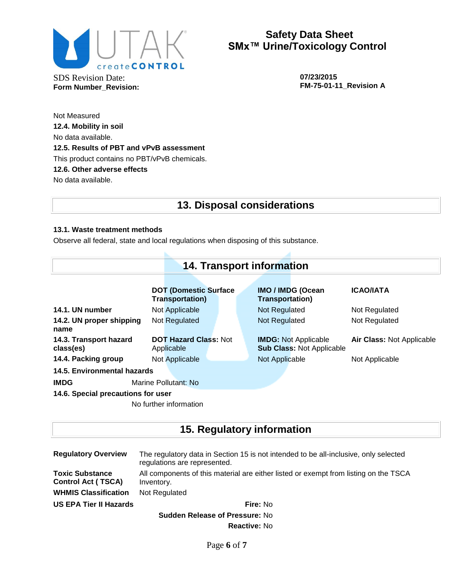

SDS Revision Date: **Form Number\_Revision:** **07/23/2015 FM-75-01-11\_Revision A**

Not Measured **12.4. Mobility in soil** No data available. **12.5. Results of PBT and vPvB assessment** This product contains no PBT/vPvB chemicals. **12.6. Other adverse effects** No data available.

## **13. Disposal considerations**

### **13.1. Waste treatment methods**

Observe all federal, state and local regulations when disposing of this substance.

| <b>14. Transport information</b>    |                      |                                                         |  |  |                        |                                                                 |                                  |
|-------------------------------------|----------------------|---------------------------------------------------------|--|--|------------------------|-----------------------------------------------------------------|----------------------------------|
|                                     |                      | <b>DOT (Domestic Surface)</b><br><b>Transportation)</b> |  |  | <b>Transportation)</b> | <b>IMO / IMDG (Ocean</b>                                        | <b>ICAO/IATA</b>                 |
| 14.1. UN number                     |                      | Not Applicable                                          |  |  | Not Regulated          |                                                                 | Not Regulated                    |
| 14.2. UN proper shipping<br>name    |                      | Not Regulated                                           |  |  | Not Regulated          |                                                                 | Not Regulated                    |
| 14.3. Transport hazard<br>class(es) |                      | <b>DOT Hazard Class: Not</b><br>Applicable              |  |  |                        | <b>IMDG: Not Applicable</b><br><b>Sub Class: Not Applicable</b> | <b>Air Class: Not Applicable</b> |
| 14.4. Packing group                 |                      | Not Applicable                                          |  |  | Not Applicable         |                                                                 | Not Applicable                   |
| 14.5. Environmental hazards         |                      |                                                         |  |  |                        |                                                                 |                                  |
| <b>IMDG</b>                         | Marine Pollutant: No |                                                         |  |  |                        |                                                                 |                                  |
| 14.6. Special precautions for user  |                      |                                                         |  |  |                        |                                                                 |                                  |
|                                     |                      | No further information                                  |  |  |                        |                                                                 |                                  |

# **15. Regulatory information**

| <b>Regulatory Overview</b>                          | The regulatory data in Section 15 is not intended to be all-inclusive, only selected<br>regulations are represented. |  |  |  |  |  |
|-----------------------------------------------------|----------------------------------------------------------------------------------------------------------------------|--|--|--|--|--|
| <b>Toxic Substance</b><br><b>Control Act (TSCA)</b> | All components of this material are either listed or exempt from listing on the TSCA<br>Inventory.                   |  |  |  |  |  |
| <b>WHMIS Classification</b>                         | Not Regulated                                                                                                        |  |  |  |  |  |
| <b>US EPA Tier II Hazards</b>                       | Fire: No                                                                                                             |  |  |  |  |  |
|                                                     | <b>Sudden Release of Pressure: No</b>                                                                                |  |  |  |  |  |
|                                                     | <b>Reactive: No</b>                                                                                                  |  |  |  |  |  |